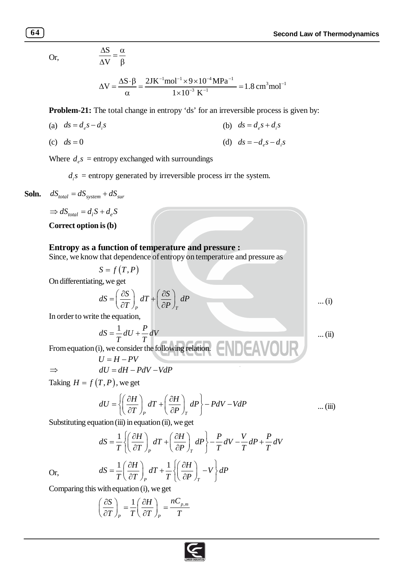Or,

$$
\frac{\Delta S}{\Delta V} = \frac{\alpha}{\beta}
$$

$$
\Delta V = \frac{\Delta S \cdot \beta}{\alpha} = \frac{2JK^{-1} mol^{-1} \times 9 \times 10^{-4} MPa^{-1}}{1 \times 10^{-3} K^{-1}} = 1.8 cm^{3} mol^{-1}
$$

**Problem-21:** The total change in entropy 'ds' for an irreversible process is given by:

(a) 
$$
ds = d_e s - d_i s
$$
   
 (b)  $ds = d_e s + d_i s$ 

(c) 
$$
ds = 0
$$
 (d)  $ds = -d_e s - d_i s$ 

Where  $d_e s$  = entropy exchanged with surroundings

 $d_i$ s = entropy generated by irreversible process irr the system.

**Soln.** 
$$
dS_{total} = dS_{system} + dS_{sur}
$$

$$
\Rightarrow dS_{total} = d_i S + d_e S
$$

**Correct option is (b)**

## **Entropy as a function of temperature and pressure :**

Since, we know that dependence of entropy on temperature and pressure as

 $S = f(T, P)$ 

On differentiating, we get

$$
dS = \left(\frac{\partial S}{\partial T}\right)_P dT + \left(\frac{\partial S}{\partial P}\right)_T dP \qquad \qquad \dots (i)
$$

In order to write the equation,

$$
dS = \frac{1}{T}dU + \frac{P}{T}dV
$$
 ...(ii)

From equation (i), we consider the following relation.

$$
U = H - PV
$$
  
\n
$$
dU = dH - PdV - VdP
$$

Taking  $H = f(T, P)$ , we get

$$
dU = \left\{ \left( \frac{\partial H}{\partial T} \right)_P dT + \left( \frac{\partial H}{\partial P} \right)_T dP \right\} - PdV - VdP \qquad \qquad \dots \text{(iii)}
$$

**DEAVOUR** 

Substituting equation (iii) in equation (ii), we get

$$
dS = \frac{1}{T} \left\{ \left( \frac{\partial H}{\partial T} \right)_P dT + \left( \frac{\partial H}{\partial P} \right)_T dP \right\} - \frac{P}{T} dV - \frac{V}{T} dP + \frac{P}{T} dV
$$
  

$$
dS = \frac{1}{T} \left( \frac{\partial H}{\partial T} \right)_P dT + \frac{1}{T} \left\{ \left( \frac{\partial H}{\partial P} \right)_T - V \right\} dP
$$

*P*  $I \cup U / T$ 

Or,

Comparing this with equation (i), we get

$$
\left(\frac{\partial S}{\partial T}\right)_P = \frac{1}{T} \left(\frac{\partial H}{\partial T}\right)_P = \frac{nC_{p,m}}{T}
$$